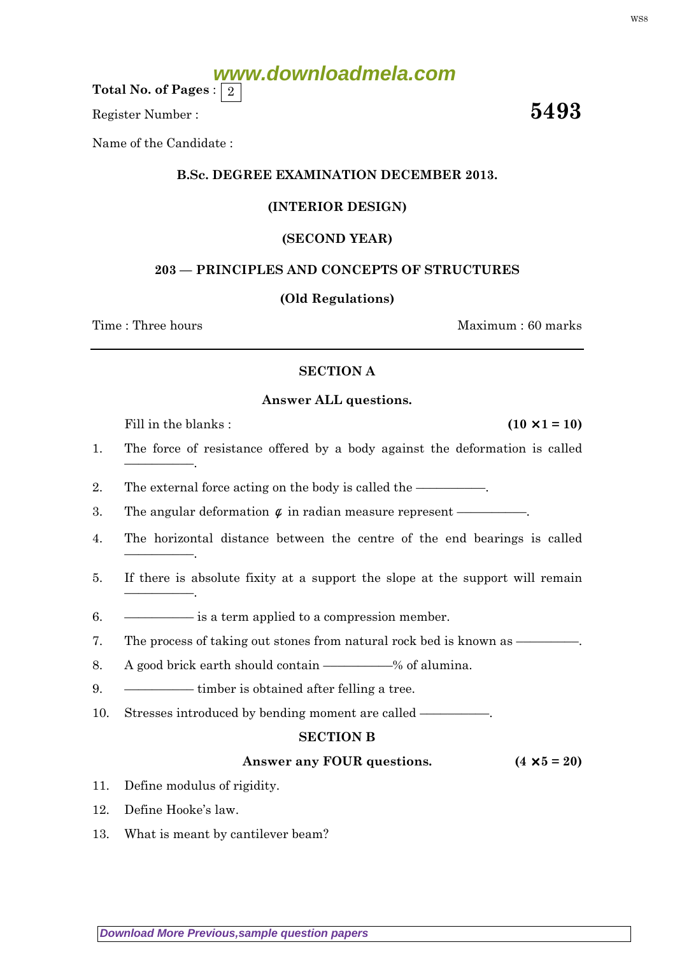# **www.downloadmela.com**

Total No. of Pages :  $\mid 2 \rangle$ 

Register Number :  $5493$ 

Name of the Candidate :

## B.Sc. DEGREE EXAMINATION DECEMBER 2013.

## (INTERIOR DESIGN)

## (SECOND YEAR)

## 203 — PRINCIPLES AND CONCEPTS OF STRUCTURES

#### (Old Regulations)

Time : Three hours and the set of the set of the Maximum : 60 marks

#### SECTION A

#### Answer ALL questions.

Fill in the blanks :  $(10 \times 1 = 10)$ 

––––––––––.

––––––––––.

––––––––––.

- 1. The force of resistance offered by a body against the deformation is called
- 2. The external force acting on the body is called the ——
- 3. The angular deformation  $\phi$  in radian measure represent ——————
- 4. The horizontal distance between the centre of the end bearings is called
- 5. If there is absolute fixity at a support the slope at the support will remain
- 6. –––––––––– is a term applied to a compression member.
- 7. The process of taking out stones from natural rock bed is known as  $-$
- 8. A good brick earth should contain ––––––% of alumina.
- 9. ––––––––––– timber is obtained after felling a tree.
- 10. Stresses introduced by bending moment are called —

## SECTION B

## Answer any FOUR questions.  $(4 \times 5 = 20)$

- 11. Define modulus of rigidity.
- 12. Define Hooke's law.
- 13. What is meant by cantilever beam?